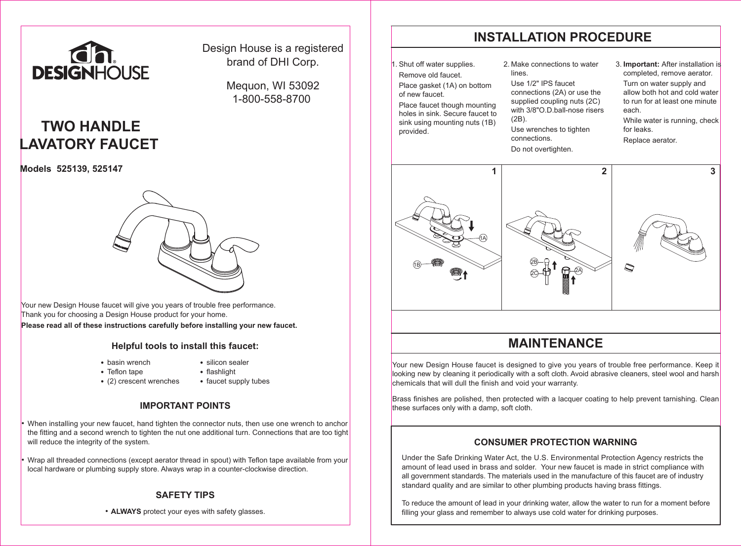

## Design House is a registered brand of DHI Corp.

Mequon, WI 53092 1-800-558-8700

# **TWO HANDLE LAVATORY FAUCET**

**Models 525139, 525147**



Your new Design House faucet will give you years of trouble free performance. Thank you for choosing a Design House product for your home. **Please read all of these instructions carefully before installing your new faucet.**

### **Helpful tools to install this faucet:**

- basin wrench
- silicon sealer
- Teflon tape
- flashlight
- (2) crescent wrenches
- faucet supply tubes

### **IMPORTANT POINTS**

• When installing your new faucet, hand tighten the connector nuts, then use one wrench to anchor the fitting and a second wrench to tighten the nut one additional turn. Connections that are too tight will reduce the integrity of the system.

• Wrap all threaded connections (except aerator thread in spout) with Teflon tape available from your local hardware or plumbing supply store. Always wrap in a counter-clockwise direction.

### **SAFETY TIPS**

• **ALWAYS** protect your eyes with safety glasses.

# **INSTALLATION PROCEDURE**

Shut off water supplies. Remove old faucet. Place gasket (1A) on bottom of new faucet.

 Place faucet though mounting holes in sink. Secure faucet to sink using mounting nuts (1B) provided.

#### 2. Make connections to water lines.

 Use 1/2" IPS faucet connections (2A) or use the supplied coupling nuts (2C) with 3/8"O.D.ball-nose risers (2B). Use wrenches to tighten connections. Do not overtighten.

3. **Important:** After installation is completed, remove aerator.

 Turn on water supply and allow both hot and cold water to run for at least one minute each.

While water is running, check for leaks.

Replace aerator.



# **MAINTENANCE**

Your new Design House faucet is designed to give you years of trouble free performance. Keep it looking new by cleaning it periodically with a soft cloth. Avoid abrasive cleaners, steel wool and harsh chemicals that will dull the finish and void your warranty.

Brass finishes are polished, then protected with a lacquer coating to help prevent tarnishing. Clean these surfaces only with a damp, soft cloth.

### **CONSUMER PROTECTION WARNING**

Under the Safe Drinking Water Act, the U.S. Environmental Protection Agency restricts the amount of lead used in brass and solder. Your new faucet is made in strict compliance with all government standards. The materials used in the manufacture of this faucet are of industry standard quality and are similar to other plumbing products having brass fittings.

To reduce the amount of lead in your drinking water, allow the water to run for a moment before filling your glass and remember to always use cold water for drinking purposes.